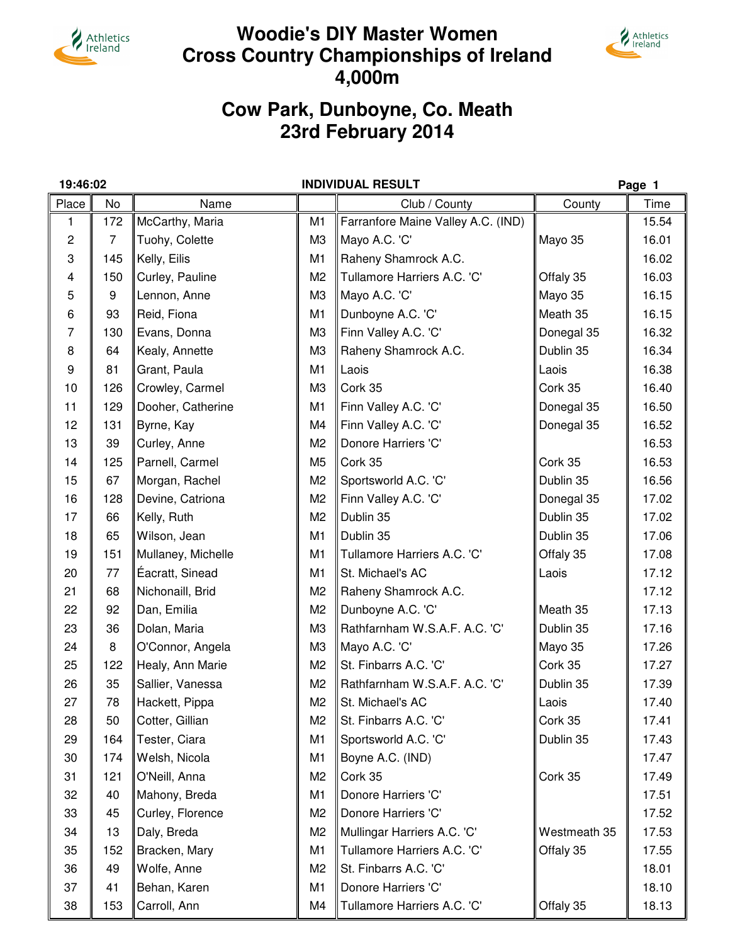

# **Woodie's DIY Master Women Cross Country Championships of Ireland 4,000m**

Athletics<br> *Ireland* 



|                | 19:46:02       |                    |                | <b>INDIVIDUAL RESULT</b>           |              | Page 1 |
|----------------|----------------|--------------------|----------------|------------------------------------|--------------|--------|
| Place          | No             | Name               |                | Club / County                      | County       | Time   |
| 1              | 172            | McCarthy, Maria    | M1             | Farranfore Maine Valley A.C. (IND) |              | 15.54  |
| $\overline{c}$ | $\overline{7}$ | Tuohy, Colette     | M <sub>3</sub> | Mayo A.C. 'C'                      | Mayo 35      | 16.01  |
| 3              | 145            | Kelly, Eilis       | M <sub>1</sub> | Raheny Shamrock A.C.               |              | 16.02  |
| 4              | 150            | Curley, Pauline    | M <sub>2</sub> | Tullamore Harriers A.C. 'C'        | Offaly 35    | 16.03  |
| 5              | 9              | Lennon, Anne       | M <sub>3</sub> | Mayo A.C. 'C'                      | Mayo 35      | 16.15  |
| 6              | 93             | Reid, Fiona        | M <sub>1</sub> | Dunboyne A.C. 'C'                  | Meath 35     | 16.15  |
| 7              | 130            | Evans, Donna       | M <sub>3</sub> | Finn Valley A.C. 'C'               | Donegal 35   | 16.32  |
| 8              | 64             | Kealy, Annette     | M <sub>3</sub> | Raheny Shamrock A.C.               | Dublin 35    | 16.34  |
| 9              | 81             | Grant, Paula       | M <sub>1</sub> | Laois                              | Laois        | 16.38  |
| 10             | 126            | Crowley, Carmel    | M <sub>3</sub> | Cork 35                            | Cork 35      | 16.40  |
| 11             | 129            | Dooher, Catherine  | M <sub>1</sub> | Finn Valley A.C. 'C'               | Donegal 35   | 16.50  |
| 12             | 131            | Byrne, Kay         | M4             | Finn Valley A.C. 'C'               | Donegal 35   | 16.52  |
| 13             | 39             | Curley, Anne       | M <sub>2</sub> | Donore Harriers 'C'                |              | 16.53  |
| 14             | 125            | Parnell, Carmel    | M <sub>5</sub> | Cork 35                            | Cork 35      | 16.53  |
| 15             | 67             | Morgan, Rachel     | M <sub>2</sub> | Sportsworld A.C. 'C'               | Dublin 35    | 16.56  |
| 16             | 128            | Devine, Catriona   | M <sub>2</sub> | Finn Valley A.C. 'C'               | Donegal 35   | 17.02  |
| 17             | 66             | Kelly, Ruth        | M <sub>2</sub> | Dublin 35                          | Dublin 35    | 17.02  |
| 18             | 65             | Wilson, Jean       | M <sub>1</sub> | Dublin 35                          | Dublin 35    | 17.06  |
| 19             | 151            | Mullaney, Michelle | M <sub>1</sub> | Tullamore Harriers A.C. 'C'        | Offaly 35    | 17.08  |
| 20             | 77             | Éacratt, Sinead    | M <sub>1</sub> | St. Michael's AC                   | Laois        | 17.12  |
| 21             | 68             | Nichonaill, Brid   | M <sub>2</sub> | Raheny Shamrock A.C.               |              | 17.12  |
| 22             | 92             | Dan, Emilia        | M <sub>2</sub> | Dunboyne A.C. 'C'                  | Meath 35     | 17.13  |
| 23             | 36             | Dolan, Maria       | M <sub>3</sub> | Rathfarnham W.S.A.F. A.C. 'C'      | Dublin 35    | 17.16  |
| 24             | 8              | O'Connor, Angela   | M3             | Mayo A.C. 'C'                      | Mayo 35      | 17.26  |
| 25             | 122            | Healy, Ann Marie   | M <sub>2</sub> | St. Finbarrs A.C. 'C'              | Cork 35      | 17.27  |
| 26             | 35             | Sallier, Vanessa   | M <sub>2</sub> | Rathfarnham W.S.A.F. A.C. 'C'      | Dublin 35    | 17.39  |
| 27             | 78             | Hackett, Pippa     | M <sub>2</sub> | St. Michael's AC                   | Laois        | 17.40  |
| 28             | 50             | Cotter, Gillian    | M <sub>2</sub> | St. Finbarrs A.C. 'C'              | Cork 35      | 17.41  |
| 29             | 164            | Tester, Ciara      | M <sub>1</sub> | Sportsworld A.C. 'C'               | Dublin 35    | 17.43  |
| 30             | 174            | Welsh, Nicola      | M <sub>1</sub> | Boyne A.C. (IND)                   |              | 17.47  |
| 31             | 121            | O'Neill, Anna      | M <sub>2</sub> | Cork 35                            | Cork 35      | 17.49  |
| 32             | 40             | Mahony, Breda      | M <sub>1</sub> | Donore Harriers 'C'                |              | 17.51  |
| 33             | 45             | Curley, Florence   | M <sub>2</sub> | Donore Harriers 'C'                |              | 17.52  |
| 34             | 13             | Daly, Breda        | M <sub>2</sub> | Mullingar Harriers A.C. 'C'        | Westmeath 35 | 17.53  |
| 35             | 152            | Bracken, Mary      | M <sub>1</sub> | Tullamore Harriers A.C. 'C'        | Offaly 35    | 17.55  |
| 36             | 49             | Wolfe, Anne        | M <sub>2</sub> | St. Finbarrs A.C. 'C'              |              | 18.01  |
| 37             | 41             | Behan, Karen       | M <sub>1</sub> | Donore Harriers 'C'                |              | 18.10  |
| 38             | 153            | Carroll, Ann       | M4             | Tullamore Harriers A.C. 'C'        | Offaly 35    | 18.13  |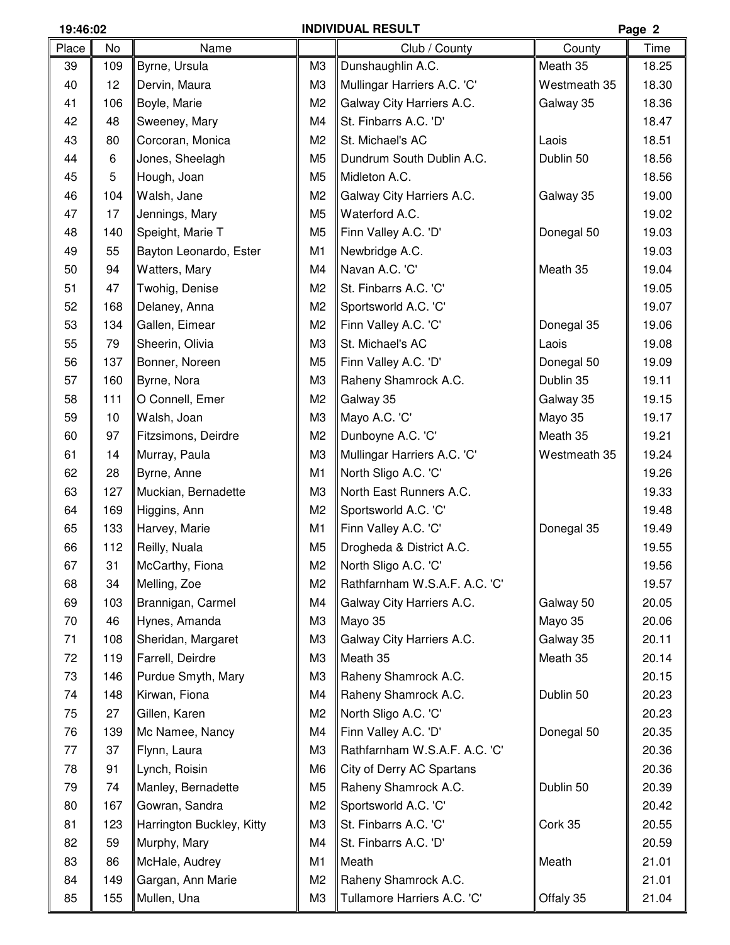## **19:46:02 INDIVIDUAL RESULT Page 2**

| Place | No  | Name                      |                | Club / County                 | County       | Time  |
|-------|-----|---------------------------|----------------|-------------------------------|--------------|-------|
| 39    | 109 | Byrne, Ursula             | M <sub>3</sub> | Dunshaughlin A.C.             | Meath 35     | 18.25 |
| 40    | 12  | Dervin, Maura             | M <sub>3</sub> | Mullingar Harriers A.C. 'C'   | Westmeath 35 | 18.30 |
| 41    | 106 | Boyle, Marie              | M <sub>2</sub> | Galway City Harriers A.C.     | Galway 35    | 18.36 |
| 42    | 48  | Sweeney, Mary             | M4             | St. Finbarrs A.C. 'D'         |              | 18.47 |
| 43    | 80  | Corcoran, Monica          | M <sub>2</sub> | St. Michael's AC              | Laois        | 18.51 |
| 44    | 6   | Jones, Sheelagh           | M <sub>5</sub> | Dundrum South Dublin A.C.     | Dublin 50    | 18.56 |
| 45    | 5   | Hough, Joan               | M <sub>5</sub> | Midleton A.C.                 |              | 18.56 |
| 46    | 104 | Walsh, Jane               | M <sub>2</sub> | Galway City Harriers A.C.     | Galway 35    | 19.00 |
| 47    | 17  | Jennings, Mary            | M <sub>5</sub> | Waterford A.C.                |              | 19.02 |
| 48    | 140 | Speight, Marie T          | M <sub>5</sub> | Finn Valley A.C. 'D'          | Donegal 50   | 19.03 |
| 49    | 55  | Bayton Leonardo, Ester    | M1             | Newbridge A.C.                |              | 19.03 |
| 50    | 94  | Watters, Mary             | M4             | Navan A.C. 'C'                | Meath 35     | 19.04 |
| 51    | 47  | Twohig, Denise            | M <sub>2</sub> | St. Finbarrs A.C. 'C'         |              | 19.05 |
| 52    | 168 | Delaney, Anna             | M <sub>2</sub> | Sportsworld A.C. 'C'          |              | 19.07 |
| 53    | 134 | Gallen, Eimear            | M <sub>2</sub> | Finn Valley A.C. 'C'          | Donegal 35   | 19.06 |
| 55    | 79  | Sheerin, Olivia           | M <sub>3</sub> | St. Michael's AC              | Laois        | 19.08 |
| 56    | 137 | Bonner, Noreen            | M <sub>5</sub> | Finn Valley A.C. 'D'          | Donegal 50   | 19.09 |
| 57    | 160 | Byrne, Nora               | M <sub>3</sub> | Raheny Shamrock A.C.          | Dublin 35    | 19.11 |
| 58    | 111 | O Connell, Emer           | M <sub>2</sub> | Galway 35                     | Galway 35    | 19.15 |
| 59    | 10  | Walsh, Joan               | M <sub>3</sub> | Mayo A.C. 'C'                 | Mayo 35      | 19.17 |
| 60    | 97  | Fitzsimons, Deirdre       | M <sub>2</sub> | Dunboyne A.C. 'C'             | Meath 35     | 19.21 |
| 61    | 14  | Murray, Paula             | M <sub>3</sub> | Mullingar Harriers A.C. 'C'   | Westmeath 35 | 19.24 |
| 62    | 28  | Byrne, Anne               | M1             | North Sligo A.C. 'C'          |              | 19.26 |
| 63    | 127 | Muckian, Bernadette       | M <sub>3</sub> | North East Runners A.C.       |              | 19.33 |
| 64    | 169 | Higgins, Ann              | M <sub>2</sub> | Sportsworld A.C. 'C'          |              | 19.48 |
| 65    | 133 | Harvey, Marie             | M1             | Finn Valley A.C. 'C'          | Donegal 35   | 19.49 |
| 66    | 112 | Reilly, Nuala             | M <sub>5</sub> | Drogheda & District A.C.      |              | 19.55 |
| 67    | 31  | McCarthy, Fiona           | M <sub>2</sub> | North Sligo A.C. 'C'          |              | 19.56 |
| 68    | 34  | Melling, Zoe              | M <sub>2</sub> | Rathfarnham W.S.A.F. A.C. 'C' |              | 19.57 |
| 69    | 103 | Brannigan, Carmel         | M4             | Galway City Harriers A.C.     | Galway 50    | 20.05 |
| 70    | 46  | Hynes, Amanda             | M <sub>3</sub> | Mayo 35                       | Mayo 35      | 20.06 |
| 71    | 108 | Sheridan, Margaret        | M <sub>3</sub> | Galway City Harriers A.C.     | Galway 35    | 20.11 |
| 72    | 119 | Farrell, Deirdre          | M <sub>3</sub> | Meath 35                      | Meath 35     | 20.14 |
| 73    | 146 | Purdue Smyth, Mary        | M <sub>3</sub> | Raheny Shamrock A.C.          |              | 20.15 |
| 74    | 148 | Kirwan, Fiona             | M4             | Raheny Shamrock A.C.          | Dublin 50    | 20.23 |
| 75    | 27  | Gillen, Karen             | M <sub>2</sub> | North Sligo A.C. 'C'          |              | 20.23 |
| 76    | 139 | Mc Namee, Nancy           | M4             | Finn Valley A.C. 'D'          | Donegal 50   | 20.35 |
| 77    | 37  | Flynn, Laura              | M <sub>3</sub> | Rathfarnham W.S.A.F. A.C. 'C' |              | 20.36 |
| 78    | 91  | Lynch, Roisin             | M <sub>6</sub> | City of Derry AC Spartans     |              | 20.36 |
| 79    | 74  | Manley, Bernadette        | M <sub>5</sub> | Raheny Shamrock A.C.          | Dublin 50    | 20.39 |
| 80    | 167 | Gowran, Sandra            | M <sub>2</sub> | Sportsworld A.C. 'C'          |              | 20.42 |
| 81    | 123 | Harrington Buckley, Kitty | M <sub>3</sub> | St. Finbarrs A.C. 'C'         | Cork 35      | 20.55 |
| 82    | 59  | Murphy, Mary              | M4             | St. Finbarrs A.C. 'D'         |              | 20.59 |
| 83    | 86  | McHale, Audrey            | M1             | Meath                         | Meath        | 21.01 |
| 84    | 149 | Gargan, Ann Marie         | M <sub>2</sub> | Raheny Shamrock A.C.          |              | 21.01 |
| 85    | 155 | Mullen, Una               | M <sub>3</sub> | Tullamore Harriers A.C. 'C'   | Offaly 35    | 21.04 |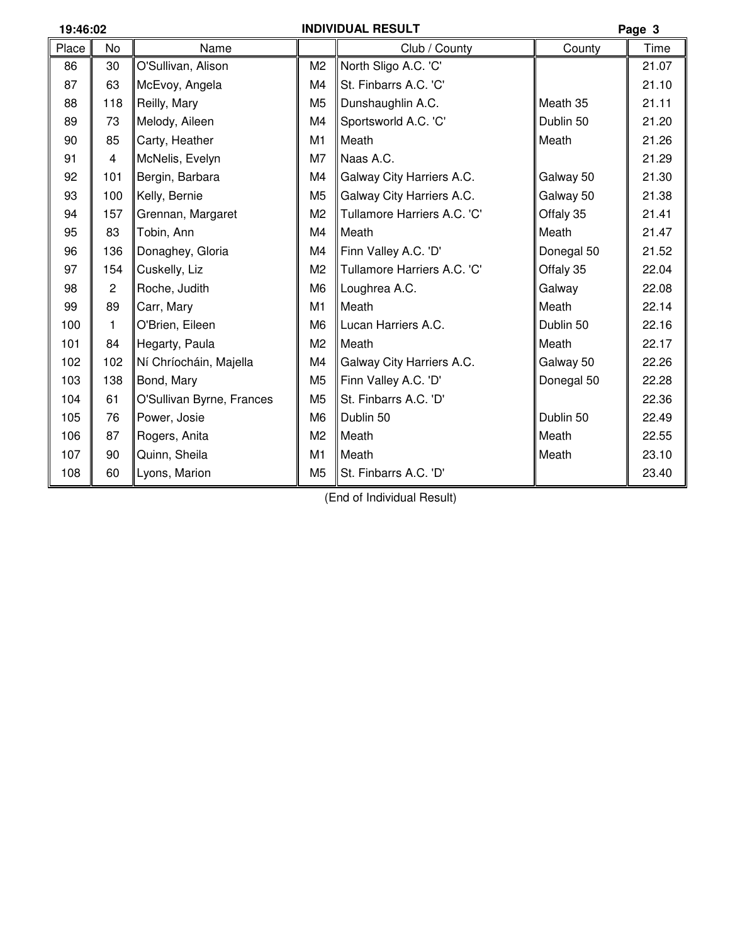# **19:46:02 INDIVIDUAL RESULT Page 3**

| . ugu v |                |                           |                |                             |            |       |
|---------|----------------|---------------------------|----------------|-----------------------------|------------|-------|
| Place   | <b>No</b>      | Name                      |                | Club / County               | County     | Time  |
| 86      | 30             | O'Sullivan, Alison        | M2             | North Sligo A.C. 'C'        |            | 21.07 |
| 87      | 63             | McEvoy, Angela            | M4             | St. Finbarrs A.C. 'C'       |            | 21.10 |
| 88      | 118            | Reilly, Mary              | M <sub>5</sub> | Dunshaughlin A.C.           | Meath 35   | 21.11 |
| 89      | 73             | Melody, Aileen            | M4             | Sportsworld A.C. 'C'        | Dublin 50  | 21.20 |
| 90      | 85             | Carty, Heather            | M <sub>1</sub> | Meath                       | Meath      | 21.26 |
| 91      | 4              | McNelis, Evelyn           | M7             | Naas A.C.                   |            | 21.29 |
| 92      | 101            | Bergin, Barbara           | M4             | Galway City Harriers A.C.   | Galway 50  | 21.30 |
| 93      | 100            | Kelly, Bernie             | M <sub>5</sub> | Galway City Harriers A.C.   | Galway 50  | 21.38 |
| 94      | 157            | Grennan, Margaret         | M <sub>2</sub> | Tullamore Harriers A.C. 'C' | Offaly 35  | 21.41 |
| 95      | 83             | Tobin, Ann                | M4             | Meath                       | Meath      | 21.47 |
| 96      | 136            | Donaghey, Gloria          | M4             | Finn Valley A.C. 'D'        | Donegal 50 | 21.52 |
| 97      | 154            | Cuskelly, Liz             | M <sub>2</sub> | Tullamore Harriers A.C. 'C' | Offaly 35  | 22.04 |
| 98      | $\overline{2}$ | Roche, Judith             | M <sub>6</sub> | Loughrea A.C.               | Galway     | 22.08 |
| 99      | 89             | Carr, Mary                | M <sub>1</sub> | Meath                       | Meath      | 22.14 |
| 100     | 1              | O'Brien, Eileen           | M <sub>6</sub> | Lucan Harriers A.C.         | Dublin 50  | 22.16 |
| 101     | 84             | Hegarty, Paula            | M <sub>2</sub> | Meath                       | Meath      | 22.17 |
| 102     | 102            | Ní Chríocháin, Majella    | M4             | Galway City Harriers A.C.   | Galway 50  | 22.26 |
| 103     | 138            | Bond, Mary                | M <sub>5</sub> | Finn Valley A.C. 'D'        | Donegal 50 | 22.28 |
| 104     | 61             | O'Sullivan Byrne, Frances | M <sub>5</sub> | St. Finbarrs A.C. 'D'       |            | 22.36 |
| 105     | 76             | Power, Josie              | M <sub>6</sub> | Dublin 50                   | Dublin 50  | 22.49 |
| 106     | 87             | Rogers, Anita             | M <sub>2</sub> | Meath                       | Meath      | 22.55 |
| 107     | 90             | Quinn, Sheila             | M <sub>1</sub> | Meath                       | Meath      | 23.10 |
| 108     | 60             | Lyons, Marion             | M <sub>5</sub> | St. Finbarrs A.C. 'D'       |            | 23.40 |
|         |                |                           |                |                             |            |       |

(End of Individual Result)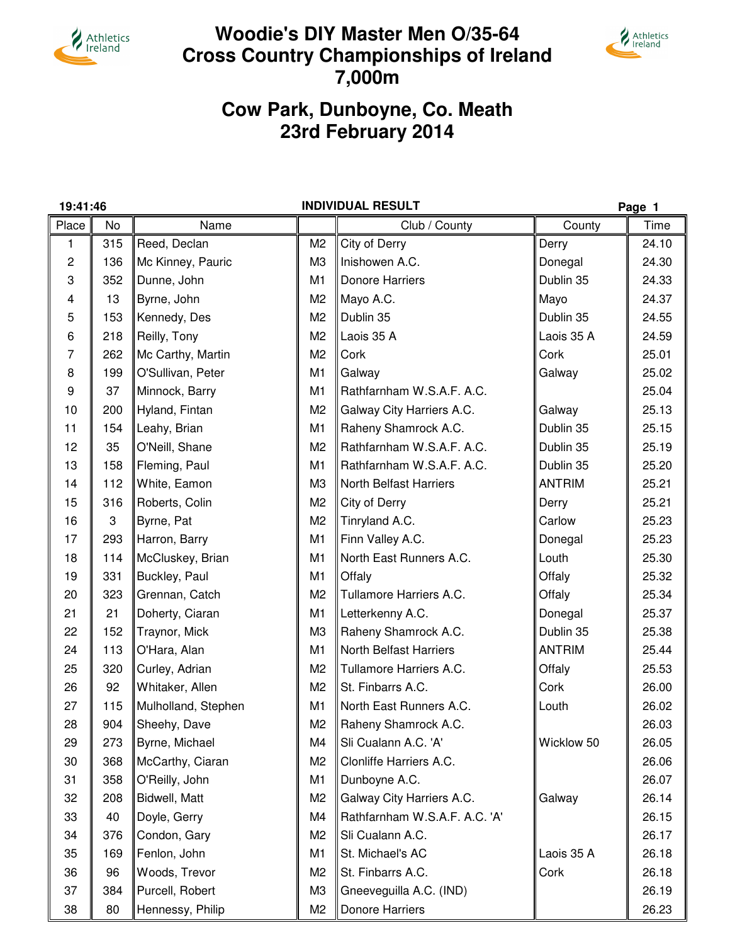

# **Woodie's DIY Master Men O/35-64 Cross Country Championships of Ireland 7,000m**



# **Cow Park, Dunboyne, Co. Meath 23rd February 2014**

Place | No || || || || Club / County || || County || Time 1 315 Reed, Declan N2 City of Derry **N2 Derry N24.10** 2 || 136 || Mc Kinney, Pauric || M3 || Inishowen A.C. || M3 || Donegal || 24.30 3 N 352 NDunne, John N N N N N N N N N Donore Harriers N N Dublin 35 N 24.33 4 13 Byrne, John Mayo A.C. M2 Mayo 24.37 5 153 Kennedy, Des Dublin 35 M2 Dublin 35 24.55 6 218 Reilly, Tony Laois 35 A M2 Laois 35 A 24.59 7 || 262 ||Mc Carthy, Martin || M2 || Cork || Cork || 25.01 8 || 199 ||O'Sullivan, Peter || M1 ||Galway || Galway || 25.02 9  $\parallel$  37  $\parallel$ Minnock, Barry  $\parallel$  M1  $\parallel$  Rathfarnham W.S.A.F. A.C.  $\parallel$  25.04  $\parallel$  25.04 10 || 200 || Hyland, Fintan || M2 || Galway City Harriers A.C. || Galway || 25.13 11 154 Leahy, Brian Raheny Shamrock A.C. 25.15 M1 Dublin 35 12 | 35 | O'Neill, Shane | M2 | Rathfarnham W.S.A.F. A.C. | Dublin 35 | 25.19 13 158 Fleming, Paul Rathfarnham W.S.A.F. A.C. 25.20 M1 Dublin 35 14 || 112 || White, Eamon || M3 || North Belfast Harriers || ANTRIM || 25.21 15 316 Roberts, Colin M2 City of Derry Network Number 15 316 Noberts, Colin 16 3 Byrne, Pat Tinryland A.C. M2 Carlow 25.23 17 || 293 ||Harron, Barry || M1 || Finn Valley A.C. || Donegal || 25.23 18 114 McCluskey, Brian North East Runners A.C. 25.30 M1 Louth 19 331 Buckley, Paul **M1 Offaly M1 Offaly** M1 Offaly Martia **Contract 1** 25.32 20 323 Grennan, Catch **Net All Tullamore Harriers A.C.** All Offaly 125.34 21 21 Doherty, Ciaran Letterkenny A.C. M1 Donegal 25.37 22 || 152 || Traynor, Mick || M3 || Raheny Shamrock A.C. || Dublin 35 || 25.38 24 | 113 | O'Hara, Alan | M1 | North Belfast Harriers | ANTRIM | 25.44 25 320 Curley, Adrian Tullamore Harriers A.C. Call Offaly 25.53 26 92 Whitaker, Allen St. Finbarrs A.C. M2 Cork 26.00 27 115 Mulholland, Stephen North East Runners A.C. 26.0 M1 Louth 2 28 904 Sheehy, Dave **Raheny Shamrock A.C.** 26.03 M2 Raheny Shamrock A.C. 29 || 273 || Byrne, Michael || M4 || Sli Cualann A.C. 'A' || Wicklow 50 || 26.05  $30 \parallel 368 \parallel$ McCarthy, Ciaran  $\parallel M2 \parallel$ Clonliffe Harriers A.C.  $\parallel$  26.06 31 358 O'Reilly, John M1 Dunboyne A.C. And M1 26.07 32 || 208 || Bidwell, Matt || M2 || Galway City Harriers A.C. || Galway || 26.14 33 40 Doyle, Gerry Rathfarnham W.S.A.F. A.C. 'A' 26.15 M4 34 376 Condon, Gary Sli Cualann A.C. M2 26.17 35 169 Fenlon, John St. Michael's AC M1 Laois 35 A 26.18 36 || 96 ||Woods, Trevor || M2 ||St. Finbarrs A.C. || Cork || 26.18 37 384 Purcell, Robert Gneeveguilla A.C. (IND) 26.19 M3 38 80 Hennessy, Philip M2 Donore Harriers M2 26.23 **19:41:46 INDIVIDUAL RESULT Page 1**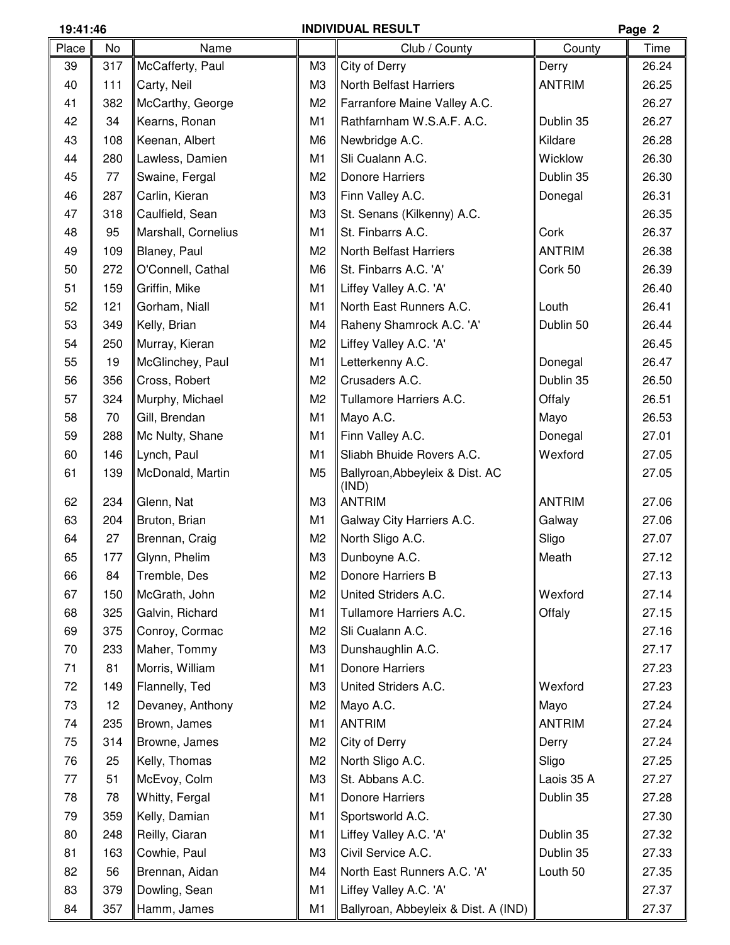### **19:41:46 INDIVIDUAL RESULT Page 2**

| Place | No  | Name                |                | Club / County                            | County        | Time  |
|-------|-----|---------------------|----------------|------------------------------------------|---------------|-------|
| 39    | 317 | McCafferty, Paul    | M <sub>3</sub> | City of Derry                            | Derry         | 26.24 |
| 40    | 111 | Carty, Neil         | M <sub>3</sub> | <b>North Belfast Harriers</b>            | <b>ANTRIM</b> | 26.25 |
| 41    | 382 | McCarthy, George    | M <sub>2</sub> | Farranfore Maine Valley A.C.             |               | 26.27 |
| 42    | 34  | Kearns, Ronan       | M <sub>1</sub> | Rathfarnham W.S.A.F. A.C.                | Dublin 35     | 26.27 |
| 43    | 108 | Keenan, Albert      | M <sub>6</sub> | Newbridge A.C.                           | Kildare       | 26.28 |
| 44    | 280 | Lawless, Damien     | M <sub>1</sub> | Sli Cualann A.C.                         | Wicklow       | 26.30 |
| 45    | 77  | Swaine, Fergal      | M <sub>2</sub> | <b>Donore Harriers</b>                   | Dublin 35     | 26.30 |
| 46    | 287 | Carlin, Kieran      | M <sub>3</sub> | Finn Valley A.C.                         | Donegal       | 26.31 |
| 47    | 318 | Caulfield, Sean     | M <sub>3</sub> | St. Senans (Kilkenny) A.C.               |               | 26.35 |
| 48    | 95  | Marshall, Cornelius | M <sub>1</sub> | St. Finbarrs A.C.                        | Cork          | 26.37 |
| 49    | 109 | Blaney, Paul        | M <sub>2</sub> | <b>North Belfast Harriers</b>            | <b>ANTRIM</b> | 26.38 |
| 50    | 272 | O'Connell, Cathal   | M <sub>6</sub> | St. Finbarrs A.C. 'A'                    | Cork 50       | 26.39 |
| 51    | 159 | Griffin, Mike       | M <sub>1</sub> | Liffey Valley A.C. 'A'                   |               | 26.40 |
| 52    | 121 | Gorham, Niall       | M <sub>1</sub> | North East Runners A.C.                  | Louth         | 26.41 |
| 53    | 349 | Kelly, Brian        | M4             | Raheny Shamrock A.C. 'A'                 | Dublin 50     | 26.44 |
| 54    | 250 | Murray, Kieran      | M <sub>2</sub> | Liffey Valley A.C. 'A'                   |               | 26.45 |
| 55    | 19  | McGlinchey, Paul    | M1             | Letterkenny A.C.                         | Donegal       | 26.47 |
| 56    | 356 | Cross, Robert       | M <sub>2</sub> | Crusaders A.C.                           | Dublin 35     | 26.50 |
| 57    | 324 | Murphy, Michael     | M <sub>2</sub> | Tullamore Harriers A.C.                  | Offaly        | 26.51 |
| 58    | 70  | Gill, Brendan       | M <sub>1</sub> | Mayo A.C.                                | Mayo          | 26.53 |
| 59    | 288 | Mc Nulty, Shane     | M <sub>1</sub> | Finn Valley A.C.                         | Donegal       | 27.01 |
| 60    | 146 | Lynch, Paul         | M <sub>1</sub> | Sliabh Bhuide Rovers A.C.                | Wexford       | 27.05 |
| 61    | 139 | McDonald, Martin    | M <sub>5</sub> | Ballyroan, Abbeyleix & Dist. AC<br>(IND) |               | 27.05 |
| 62    | 234 | Glenn, Nat          | M <sub>3</sub> | <b>ANTRIM</b>                            | <b>ANTRIM</b> | 27.06 |
| 63    | 204 | Bruton, Brian       | M <sub>1</sub> | Galway City Harriers A.C.                | Galway        | 27.06 |
| 64    | 27  | Brennan, Craig      | M <sub>2</sub> | North Sligo A.C.                         | Sligo         | 27.07 |
| 65    | 177 | Glynn, Phelim       | M <sub>3</sub> | Dunboyne A.C.                            | Meath         | 27.12 |
| 66    | 84  | Tremble, Des        | M <sub>2</sub> | Donore Harriers B                        |               | 27.13 |
| 67    | 150 | McGrath, John       | M <sub>2</sub> | United Striders A.C.                     | Wexford       | 27.14 |
| 68    | 325 | Galvin, Richard     | M <sub>1</sub> | Tullamore Harriers A.C.                  | Offaly        | 27.15 |
| 69    | 375 | Conroy, Cormac      | M <sub>2</sub> | Sli Cualann A.C.                         |               | 27.16 |
| 70    | 233 | Maher, Tommy        | M <sub>3</sub> | Dunshaughlin A.C.                        |               | 27.17 |
| 71    | 81  | Morris, William     | M <sub>1</sub> | Donore Harriers                          |               | 27.23 |
| 72    | 149 | Flannelly, Ted      | M <sub>3</sub> | United Striders A.C.                     | Wexford       | 27.23 |
| 73    | 12  | Devaney, Anthony    | M <sub>2</sub> | Mayo A.C.                                | Mayo          | 27.24 |
| 74    | 235 | Brown, James        | M <sub>1</sub> | <b>ANTRIM</b>                            | <b>ANTRIM</b> | 27.24 |
| 75    | 314 | Browne, James       | M <sub>2</sub> | City of Derry                            | Derry         | 27.24 |
| 76    | 25  | Kelly, Thomas       | M <sub>2</sub> | North Sligo A.C.                         | Sligo         | 27.25 |
| 77    | 51  | McEvoy, Colm        | M <sub>3</sub> | St. Abbans A.C.                          | Laois 35 A    | 27.27 |
| 78    | 78  | Whitty, Fergal      | M <sub>1</sub> | Donore Harriers                          | Dublin 35     | 27.28 |
| 79    | 359 | Kelly, Damian       | M <sub>1</sub> | Sportsworld A.C.                         |               | 27.30 |
| 80    | 248 | Reilly, Ciaran      | M <sub>1</sub> | Liffey Valley A.C. 'A'                   | Dublin 35     | 27.32 |
| 81    | 163 | Cowhie, Paul        | M <sub>3</sub> | Civil Service A.C.                       | Dublin 35     | 27.33 |
| 82    | 56  | Brennan, Aidan      | M4             | North East Runners A.C. 'A'              | Louth 50      | 27.35 |
| 83    | 379 | Dowling, Sean       | M1             | Liffey Valley A.C. 'A'                   |               | 27.37 |
| 84    | 357 | Hamm, James         | M <sub>1</sub> | Ballyroan, Abbeyleix & Dist. A (IND)     |               | 27.37 |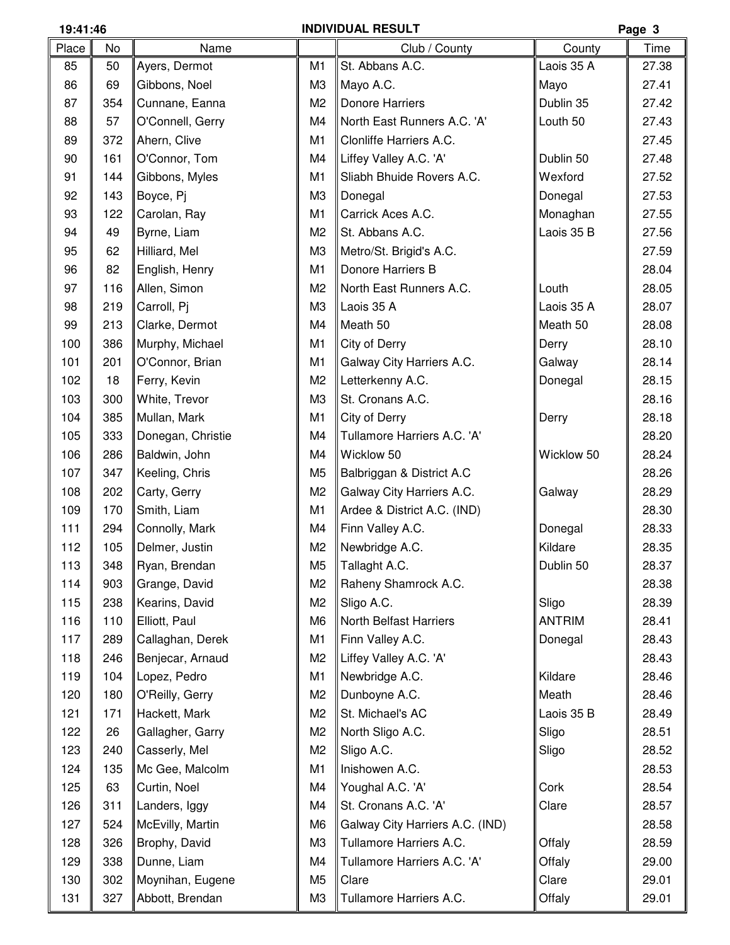## **19:41:46 INDIVIDUAL RESULT Page 3**

| Place | No  | Name              |                | Club / County                   | County        | . ugu<br>Time |
|-------|-----|-------------------|----------------|---------------------------------|---------------|---------------|
| 85    | 50  | Ayers, Dermot     | M <sub>1</sub> | St. Abbans A.C.                 | Laois 35 A    | 27.38         |
|       |     |                   |                |                                 |               |               |
| 86    | 69  | Gibbons, Noel     | M <sub>3</sub> | Mayo A.C.                       | Mayo          | 27.41         |
| 87    | 354 | Cunnane, Eanna    | M <sub>2</sub> | <b>Donore Harriers</b>          | Dublin 35     | 27.42         |
| 88    | 57  | O'Connell, Gerry  | M4             | North East Runners A.C. 'A'     | Louth 50      | 27.43         |
| 89    | 372 | Ahern, Clive      | M <sub>1</sub> | Clonliffe Harriers A.C.         |               | 27.45         |
| 90    | 161 | O'Connor, Tom     | M4             | Liffey Valley A.C. 'A'          | Dublin 50     | 27.48         |
| 91    | 144 | Gibbons, Myles    | M <sub>1</sub> | Sliabh Bhuide Rovers A.C.       | Wexford       | 27.52         |
| 92    | 143 | Boyce, Pj         | M <sub>3</sub> | Donegal                         | Donegal       | 27.53         |
| 93    | 122 | Carolan, Ray      | M <sub>1</sub> | Carrick Aces A.C.               | Monaghan      | 27.55         |
| 94    | 49  | Byrne, Liam       | M <sub>2</sub> | St. Abbans A.C.                 | Laois 35 B    | 27.56         |
| 95    | 62  | Hilliard, Mel     | M <sub>3</sub> | Metro/St. Brigid's A.C.         |               | 27.59         |
| 96    | 82  | English, Henry    | M <sub>1</sub> | Donore Harriers B               |               | 28.04         |
| 97    | 116 | Allen, Simon      | M <sub>2</sub> | North East Runners A.C.         | Louth         | 28.05         |
| 98    | 219 | Carroll, Pj       | M <sub>3</sub> | Laois 35 A                      | Laois 35 A    | 28.07         |
| 99    | 213 | Clarke, Dermot    | M4             | Meath 50                        | Meath 50      | 28.08         |
| 100   | 386 | Murphy, Michael   | M <sub>1</sub> | City of Derry                   | Derry         | 28.10         |
| 101   | 201 | O'Connor, Brian   | M <sub>1</sub> | Galway City Harriers A.C.       | Galway        | 28.14         |
| 102   | 18  | Ferry, Kevin      | M <sub>2</sub> | Letterkenny A.C.                | Donegal       | 28.15         |
| 103   | 300 | White, Trevor     | M <sub>3</sub> | St. Cronans A.C.                |               | 28.16         |
| 104   | 385 | Mullan, Mark      | M1             | City of Derry                   | Derry         | 28.18         |
| 105   | 333 | Donegan, Christie | M4             | Tullamore Harriers A.C. 'A'     |               | 28.20         |
| 106   | 286 | Baldwin, John     | M4             | Wicklow 50                      | Wicklow 50    | 28.24         |
| 107   | 347 | Keeling, Chris    | M <sub>5</sub> | Balbriggan & District A.C       |               | 28.26         |
| 108   | 202 | Carty, Gerry      | M <sub>2</sub> | Galway City Harriers A.C.       | Galway        | 28.29         |
| 109   | 170 | Smith, Liam       | M1             | Ardee & District A.C. (IND)     |               | 28.30         |
| 111   | 294 | Connolly, Mark    | M4             | Finn Valley A.C.                | Donegal       | 28.33         |
| 112   | 105 | Delmer, Justin    | M <sub>2</sub> | Newbridge A.C.                  | Kildare       | 28.35         |
| 113   | 348 | Ryan, Brendan     | M5             | $\parallel$ Tallaght A.C.       | Dublin 50     | 28.37         |
| 114   | 903 | Grange, David     | M2             | Raheny Shamrock A.C.            |               | 28.38         |
| 115   | 238 | Kearins, David    | M <sub>2</sub> | Sligo A.C.                      | Sligo         | 28.39         |
| 116   | 110 | Elliott, Paul     | M <sub>6</sub> | North Belfast Harriers          | <b>ANTRIM</b> | 28.41         |
| 117   | 289 | Callaghan, Derek  | M1             | Finn Valley A.C.                | Donegal       | 28.43         |
| 118   | 246 | Benjecar, Arnaud  | M <sub>2</sub> | Liffey Valley A.C. 'A'          |               | 28.43         |
| 119   | 104 | Lopez, Pedro      | M1             | Newbridge A.C.                  | Kildare       | 28.46         |
| 120   | 180 | O'Reilly, Gerry   | M <sub>2</sub> | Dunboyne A.C.                   | Meath         | 28.46         |
| 121   | 171 | Hackett, Mark     | M <sub>2</sub> | St. Michael's AC                | Laois 35 B    | 28.49         |
|       |     |                   | M <sub>2</sub> |                                 |               | 28.51         |
| 122   | 26  | Gallagher, Garry  |                | North Sligo A.C.                | Sligo         |               |
| 123   | 240 | Casserly, Mel     | M <sub>2</sub> | Sligo A.C.                      | Sligo         | 28.52         |
| 124   | 135 | Mc Gee, Malcolm   | M <sub>1</sub> | Inishowen A.C.                  |               | 28.53         |
| 125   | 63  | Curtin, Noel      | M4             | Youghal A.C. 'A'                | Cork          | 28.54         |
| 126   | 311 | Landers, Iggy     | M4             | St. Cronans A.C. 'A'            | Clare         | 28.57         |
| 127   | 524 | McEvilly, Martin  | M <sub>6</sub> | Galway City Harriers A.C. (IND) |               | 28.58         |
| 128   | 326 | Brophy, David     | M <sub>3</sub> | Tullamore Harriers A.C.         | Offaly        | 28.59         |
| 129   | 338 | Dunne, Liam       | M4             | Tullamore Harriers A.C. 'A'     | Offaly        | 29.00         |
| 130   | 302 | Moynihan, Eugene  | M <sub>5</sub> | Clare                           | Clare         | 29.01         |
| 131   | 327 | Abbott, Brendan   | M <sub>3</sub> | Tullamore Harriers A.C.         | Offaly        | 29.01         |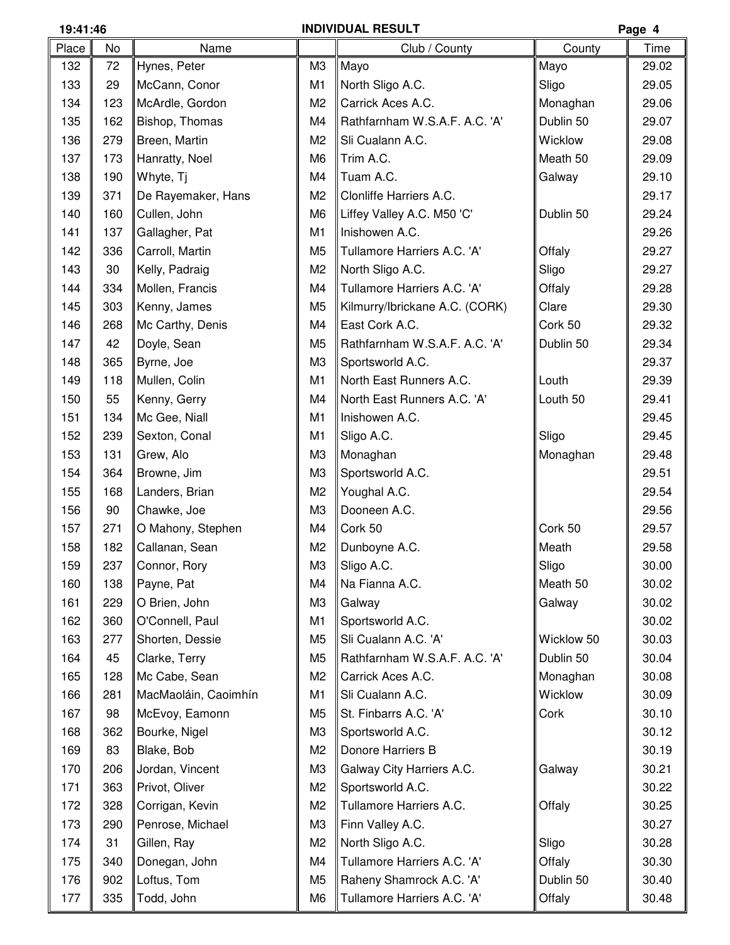|       | <b>INDIVIDUAL RESULT</b><br>19:41:46 |                      |                |                                |            | Page 4 |
|-------|--------------------------------------|----------------------|----------------|--------------------------------|------------|--------|
| Place | No                                   | Name                 |                | Club / County                  | County     | Time   |
| 132   | 72                                   | Hynes, Peter         | M <sub>3</sub> | Mayo                           | Mayo       | 29.02  |
| 133   | 29                                   | McCann, Conor        | M <sub>1</sub> | North Sligo A.C.               | Sligo      | 29.05  |
| 134   | 123                                  | McArdle, Gordon      | M <sub>2</sub> | Carrick Aces A.C.              | Monaghan   | 29.06  |
| 135   | 162                                  | Bishop, Thomas       | M4             | Rathfarnham W.S.A.F. A.C. 'A'  | Dublin 50  | 29.07  |
| 136   | 279                                  | Breen, Martin        | M <sub>2</sub> | Sli Cualann A.C.               | Wicklow    | 29.08  |
| 137   | 173                                  | Hanratty, Noel       | M <sub>6</sub> | Trim A.C.                      | Meath 50   | 29.09  |
| 138   | 190                                  | Whyte, Tj            | M4             | Tuam A.C.                      | Galway     | 29.10  |
| 139   | 371                                  | De Rayemaker, Hans   | M <sub>2</sub> | Clonliffe Harriers A.C.        |            | 29.17  |
| 140   | 160                                  | Cullen, John         | M <sub>6</sub> | Liffey Valley A.C. M50 'C'     | Dublin 50  | 29.24  |
| 141   | 137                                  | Gallagher, Pat       | M <sub>1</sub> | Inishowen A.C.                 |            | 29.26  |
| 142   | 336                                  | Carroll, Martin      | M <sub>5</sub> | Tullamore Harriers A.C. 'A'    | Offaly     | 29.27  |
| 143   | 30                                   | Kelly, Padraig       | M <sub>2</sub> | North Sligo A.C.               | Sligo      | 29.27  |
| 144   | 334                                  | Mollen, Francis      | M4             | Tullamore Harriers A.C. 'A'    | Offaly     | 29.28  |
| 145   | 303                                  | Kenny, James         | M <sub>5</sub> | Kilmurry/Ibrickane A.C. (CORK) | Clare      | 29.30  |
| 146   | 268                                  | Mc Carthy, Denis     | M4             | East Cork A.C.                 | Cork 50    | 29.32  |
| 147   | 42                                   | Doyle, Sean          | M <sub>5</sub> | Rathfarnham W.S.A.F. A.C. 'A'  | Dublin 50  | 29.34  |
| 148   | 365                                  | Byrne, Joe           | M <sub>3</sub> | Sportsworld A.C.               |            | 29.37  |
| 149   | 118                                  | Mullen, Colin        | M <sub>1</sub> | North East Runners A.C.        | Louth      | 29.39  |
| 150   | 55                                   | Kenny, Gerry         | M4             | North East Runners A.C. 'A'    | Louth 50   | 29.41  |
| 151   | 134                                  | Mc Gee, Niall        | M <sub>1</sub> | Inishowen A.C.                 |            | 29.45  |
| 152   | 239                                  | Sexton, Conal        | M <sub>1</sub> | Sligo A.C.                     | Sligo      | 29.45  |
| 153   | 131                                  | Grew, Alo            | M <sub>3</sub> | Monaghan                       | Monaghan   | 29.48  |
| 154   | 364                                  | Browne, Jim          | M <sub>3</sub> | Sportsworld A.C.               |            | 29.51  |
| 155   | 168                                  | Landers, Brian       | M <sub>2</sub> | Youghal A.C.                   |            | 29.54  |
| 156   | 90                                   | Chawke, Joe          | M <sub>3</sub> | Dooneen A.C.                   |            | 29.56  |
| 157   | 271                                  | O Mahony, Stephen    | M4             | Cork 50                        | Cork 50    | 29.57  |
| 158   | 182                                  | Callanan, Sean       | M <sub>2</sub> | Dunboyne A.C.                  | Meath      | 29.58  |
| 159   | 237                                  | Connor, Rory         | M <sub>3</sub> | Sligo A.C.                     | Sligo      | 30.00  |
| 160   | 138                                  | Payne, Pat           | M4             | Na Fianna A.C.                 | Meath 50   | 30.02  |
| 161   | 229                                  | O Brien, John        | M <sub>3</sub> | Galway                         | Galway     | 30.02  |
| 162   | 360                                  | O'Connell, Paul      | M1             | Sportsworld A.C.               |            | 30.02  |
| 163   | 277                                  | Shorten, Dessie      | M <sub>5</sub> | Sli Cualann A.C. 'A'           | Wicklow 50 | 30.03  |
| 164   | 45                                   | Clarke, Terry        | M <sub>5</sub> | Rathfarnham W.S.A.F. A.C. 'A'  | Dublin 50  | 30.04  |
| 165   | 128                                  | Mc Cabe, Sean        | M <sub>2</sub> | Carrick Aces A.C.              | Monaghan   | 30.08  |
| 166   | 281                                  | MacMaoláin, Caoimhín | M <sub>1</sub> | Sli Cualann A.C.               | Wicklow    | 30.09  |
| 167   | 98                                   | McEvoy, Eamonn       | M <sub>5</sub> | St. Finbarrs A.C. 'A'          | Cork       | 30.10  |
| 168   | 362                                  | Bourke, Nigel        | M <sub>3</sub> | Sportsworld A.C.               |            | 30.12  |
| 169   | 83                                   | Blake, Bob           | M <sub>2</sub> | Donore Harriers B              |            | 30.19  |
| 170   | 206                                  | Jordan, Vincent      | M <sub>3</sub> | Galway City Harriers A.C.      | Galway     | 30.21  |
| 171   | 363                                  | Privot, Oliver       | M <sub>2</sub> | Sportsworld A.C.               |            | 30.22  |
| 172   | 328                                  | Corrigan, Kevin      | M <sub>2</sub> | Tullamore Harriers A.C.        | Offaly     | 30.25  |
| 173   | 290                                  | Penrose, Michael     | M <sub>3</sub> | Finn Valley A.C.               |            | 30.27  |
| 174   | 31                                   | Gillen, Ray          | M <sub>2</sub> | North Sligo A.C.               | Sligo      | 30.28  |
| 175   | 340                                  | Donegan, John        | M4             | Tullamore Harriers A.C. 'A'    | Offaly     | 30.30  |
| 176   | 902                                  | Loftus, Tom          | M <sub>5</sub> | Raheny Shamrock A.C. 'A'       | Dublin 50  | 30.40  |
| 177   | 335                                  | Todd, John           | M <sub>6</sub> | Tullamore Harriers A.C. 'A'    | Offaly     | 30.48  |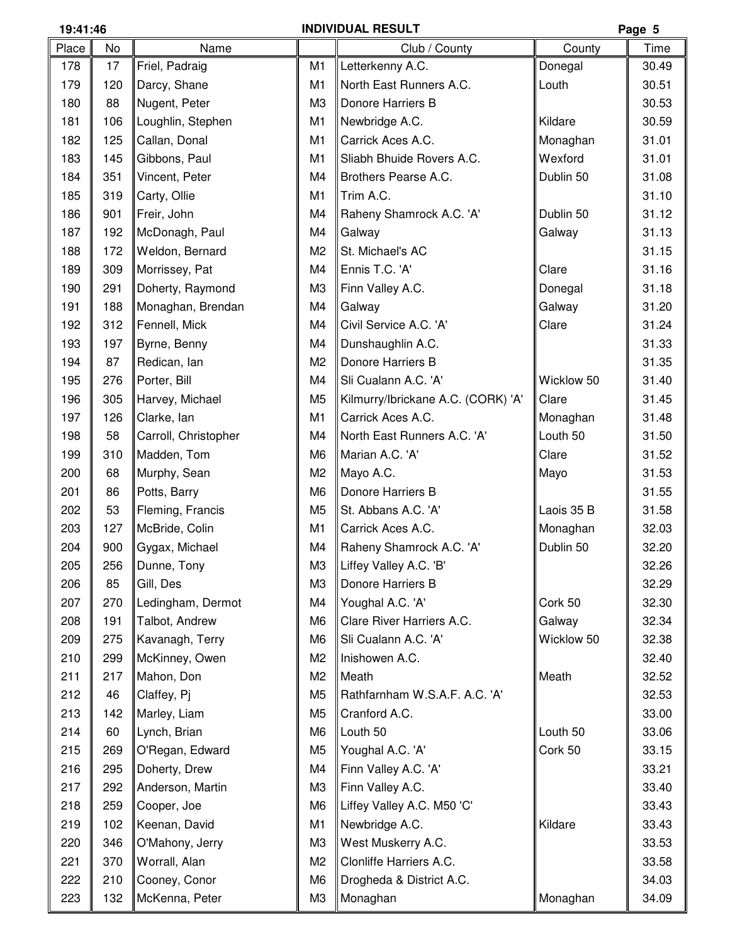## **19:41:46 INDIVIDUAL RESULT Page 5**

| Place | No         | Name                 |                | Club / County                            | County     | Time           |
|-------|------------|----------------------|----------------|------------------------------------------|------------|----------------|
| 178   | 17         | Friel, Padraig       | M <sub>1</sub> | Letterkenny A.C.                         | Donegal    | 30.49          |
| 179   | 120        | Darcy, Shane         | M1             | North East Runners A.C.                  | Louth      | 30.51          |
| 180   | 88         | Nugent, Peter        | M <sub>3</sub> | Donore Harriers B                        |            | 30.53          |
| 181   | 106        | Loughlin, Stephen    | M1             | Newbridge A.C.                           | Kildare    | 30.59          |
| 182   | 125        | Callan, Donal        | M1             | Carrick Aces A.C.                        | Monaghan   | 31.01          |
| 183   | 145        | Gibbons, Paul        | M1             | Sliabh Bhuide Rovers A.C.                | Wexford    | 31.01          |
| 184   | 351        | Vincent, Peter       | M4             | Brothers Pearse A.C.                     | Dublin 50  | 31.08          |
| 185   | 319        | Carty, Ollie         | M1             | Trim A.C.                                |            | 31.10          |
| 186   | 901        | Freir, John          | M4             | Raheny Shamrock A.C. 'A'                 | Dublin 50  | 31.12          |
| 187   | 192        | McDonagh, Paul       | M4             | Galway                                   | Galway     | 31.13          |
| 188   | 172        | Weldon, Bernard      | M <sub>2</sub> | St. Michael's AC                         |            | 31.15          |
| 189   | 309        | Morrissey, Pat       | M4             | Ennis T.C. 'A'                           | Clare      | 31.16          |
| 190   | 291        | Doherty, Raymond     | M <sub>3</sub> | Finn Valley A.C.                         | Donegal    | 31.18          |
| 191   | 188        | Monaghan, Brendan    | M4             | Galway                                   | Galway     | 31.20          |
| 192   | 312        | Fennell, Mick        | M4             | Civil Service A.C. 'A'                   | Clare      | 31.24          |
| 193   | 197        | Byrne, Benny         | M4             | Dunshaughlin A.C.                        |            | 31.33          |
| 194   | 87         | Redican, Ian         | M <sub>2</sub> | Donore Harriers B                        |            | 31.35          |
| 195   | 276        | Porter, Bill         | M4             | Sli Cualann A.C. 'A'                     | Wicklow 50 | 31.40          |
| 196   | 305        | Harvey, Michael      | M <sub>5</sub> | Kilmurry/Ibrickane A.C. (CORK) 'A'       | Clare      | 31.45          |
| 197   | 126        | Clarke, lan          | M1             | Carrick Aces A.C.                        | Monaghan   | 31.48          |
| 198   | 58         | Carroll, Christopher | M4             | North East Runners A.C. 'A'              | Louth 50   | 31.50          |
| 199   | 310        | Madden, Tom          | M <sub>6</sub> | Marian A.C. 'A'                          | Clare      | 31.52          |
| 200   | 68         | Murphy, Sean         | M <sub>2</sub> | Mayo A.C.                                | Mayo       | 31.53          |
| 201   | 86         | Potts, Barry         | M <sub>6</sub> | Donore Harriers B                        |            | 31.55          |
| 202   | 53         | Fleming, Francis     | M <sub>5</sub> | St. Abbans A.C. 'A'                      | Laois 35 B | 31.58          |
| 203   | 127        | McBride, Colin       | M1             | Carrick Aces A.C.                        | Monaghan   | 32.03          |
| 204   | 900        | Gygax, Michael       | M4             | Raheny Shamrock A.C. 'A'                 | Dublin 50  | 32.20          |
| 205   | 256        | Dunne, Tony          | ΜЗ             | Liffey Valley A.C. 'B'                   |            | 32.26          |
| 206   | 85         | Gill, Des            | MЗ             | Donore Harriers B                        |            | 32.29          |
| 207   | 270        | Ledingham, Dermot    | M4             | Youghal A.C. 'A'                         | Cork 50    | 32.30          |
| 208   | 191        | Talbot, Andrew       | M <sub>6</sub> | Clare River Harriers A.C.                | Galway     | 32.34          |
| 209   | 275        | Kavanagh, Terry      | M <sub>6</sub> | Sli Cualann A.C. 'A'                     | Wicklow 50 | 32.38          |
| 210   | 299        | McKinney, Owen       | M <sub>2</sub> | Inishowen A.C.                           |            | 32.40          |
| 211   | 217        | Mahon, Don           | M <sub>2</sub> | Meath                                    | Meath      | 32.52          |
| 212   | 46         | Claffey, Pj          | M <sub>5</sub> | Rathfarnham W.S.A.F. A.C. 'A'            |            | 32.53          |
| 213   | 142        | Marley, Liam         | M <sub>5</sub> | Cranford A.C.                            |            | 33.00          |
| 214   | 60         | Lynch, Brian         | M <sub>6</sub> | Louth 50                                 | Louth 50   | 33.06          |
| 215   | 269        | O'Regan, Edward      | M <sub>5</sub> | Youghal A.C. 'A'                         | Cork 50    | 33.15          |
| 216   |            |                      | M4             |                                          |            |                |
| 217   | 295<br>292 | Doherty, Drew        | M <sub>3</sub> | Finn Valley A.C. 'A'<br>Finn Valley A.C. |            | 33.21<br>33.40 |
|       |            | Anderson, Martin     |                |                                          |            |                |
| 218   | 259        | Cooper, Joe          | M <sub>6</sub> | Liffey Valley A.C. M50 'C'               |            | 33.43          |
| 219   | 102        | Keenan, David        | M1             | Newbridge A.C.                           | Kildare    | 33.43          |
| 220   | 346        | O'Mahony, Jerry      | M <sub>3</sub> | West Muskerry A.C.                       |            | 33.53          |
| 221   | 370        | Worrall, Alan        | M <sub>2</sub> | Clonliffe Harriers A.C.                  |            | 33.58          |
| 222   | 210        | Cooney, Conor        | M <sub>6</sub> | Drogheda & District A.C.                 |            | 34.03          |
| 223   | 132        | McKenna, Peter       | M <sub>3</sub> | Monaghan                                 | Monaghan   | 34.09          |